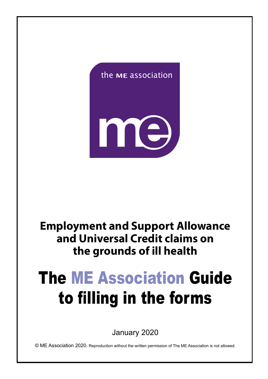



# **Employment and Support Allowance and Universal Credit claims on the grounds of ill health**

# The ME Association Guide to filling in the forms

January 2020

© ME Association 2020. Reproduction without the written permission of The ME Association is not allowed.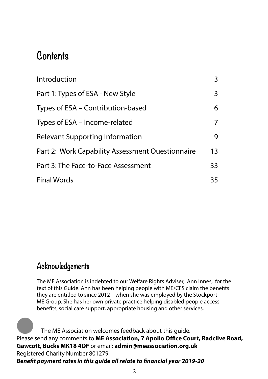# **Contents**

| Introduction                                     | 3  |
|--------------------------------------------------|----|
| Part 1: Types of ESA - New Style                 | 3  |
| Types of ESA – Contribution-based                | 6  |
| Types of ESA – Income-related                    | 7  |
| <b>Relevant Supporting Information</b>           | 9  |
| Part 2: Work Capability Assessment Questionnaire | 13 |
| Part 3: The Face-to-Face Assessment              | 33 |
| <b>Final Words</b>                               | 35 |

# **Acknowledgements**

The ME Association is indebted to our Welfare Rights Adviser, Ann Innes, for the text of this Guide. Ann has been helping people with ME/CFS claim the benefits they are entitled to since 2012 – when she was employed by the Stockport ME Group. She has her own private practice helping disabled people access benefits, social care support, appropriate housing and other services.

 The ME Association welcomes feedback about this guide. Please send any comments to **ME Association, 7 Apollo Office Court, Radclive Road, Gawcott, Bucks MK18 4DF** or email: **admin@meassociation.org.uk** Registered Charity Number 801279 *Benefit payment rates in this guide all relate to financial year 2019-20* la de la construction de la construction de la construction de la construction de la construction de la construction de la construction de la construction de la construction de la construction de la construction de la cons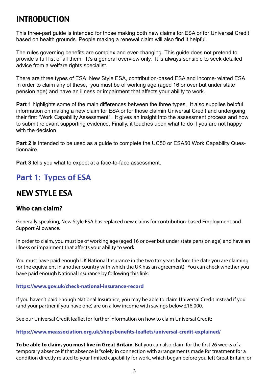# INTRODUCTION

This three-part guide is intended for those making both new claims for ESA or for Universal Credit based on health grounds. People making a renewal claim will also find it helpful.

The rules governing benefits are complex and ever-changing. This guide does not pretend to provide a full list of all them. It's a general overview only. It is always sensible to seek detailed advice from a welfare rights specialist.

There are three types of ESA: New Style ESA, contribution-based ESA and income-related ESA. In order to claim any of these, you must be of working age (aged 16 or over but under state pension age) and have an illness or impairment that affects your ability to work.

**Part 1** highlights some of the main differences between the three types. It also supplies helpful information on making a new claim for ESA or for those claimin Universal Credit and undergoing their first "Work Capability Assessment". It gives an insight into the assessment process and how to submit relevant supporting evidence. Finally, it touches upon what to do if you are not happy with the decision.

**Part 2** is intended to be used as a guide to complete the UC50 or ESA50 Work Capability Questionnaire.

**Part 3** tells you what to expect at a face-to-face assessment.

# Part 1: Types of ESA

# **N**EW STYLE ESA

# **Who can claim?**

Generally speaking, New Style ESA has replaced new claims for contribution-based Employment and Support Allowance.

In order to claim, you must be of working age (aged 16 or over but under state pension age) and have an illness or impairment that affects your ability to work.

You must have paid enough UK National Insurance in the two tax years before the date you are claiming (or the equivalent in another country with which the UK has an agreement). You can check whether you have paid enough National Insurance by following this link:

#### **https://www.gov.uk/check-national-insurance-record**

If you haven't paid enough National Insurance, you may be able to claim Universal Credit instead if you (and your partner if you have one) are on a low income with savings below £16,000.

See our Universal Credit leaflet for further information on how to claim Universal Credit:

#### **https://www.meassociation.org.uk/shop/benefits-leaflets/universal-credit-explained/**

**To be able to claim, you must live in Great Britain**. But you can also claim for the first 26 weeks of a temporary absence if that absence is "solely in connection with arrangements made for treatment for a condition directly related to your limited capability for work, which began before you left Great Britain; or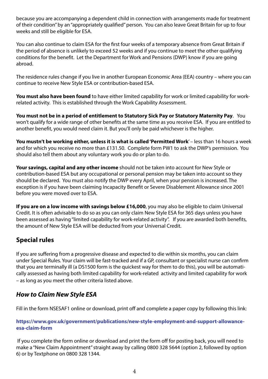because you are accompanying a dependent child in connection with arrangements made for treatment of their condition" by an "appropriately qualified" person. You can also leave Great Britain for up to four weeks and still be eligible for ESA.

You can also continue to claim ESA for the first four weeks of a temporary absence from Great Britain if the period of absence is unlikely to exceed 52 weeks and if you continue to meet the other qualifying conditions for the benefit. Let the Department for Work and Pensions (DWP) know if you are going abroad.

The residence rules change if you live in another European Economic Area (EEA) country – where you can continue to receive New Style ESA or contribution-based ESA.

**You must also have been found** to have either limited capability for work or limited capability for workrelated activity. This is established through the Work Capability Assessment.

**You must not be in a period of entitlement to Statutory Sick Pay or Statutory Maternity Pay**. You won't qualify for a wide range of other benefits at the same time as you receive ESA. If you are entitled to another benefit, you would need claim it. But you'll only be paid whichever is the higher.

**You mustn't be working either, unless it is what is called 'Permitted Work**' – less than 16 hours a week and for which you receive no more than £131.50. Complete form PW1 to ask the DWP's permission. You should also tell them about any voluntary work you do or plan to do.

**Your savings, capital and any other income** should not be taken into account for New Style or contribution-based ESA but any occupational or personal pension may be taken into account so they should be declared. You must also notify the DWP every April, when your pension is increased. The exception is if you have been claiming Incapacity Benefit or Severe Disablement Allowance since 2001 before you were moved over to ESA.

**If you are on a low income with savings below £16,000**, you may also be eligible to claim Universal Credit. It is often advisable to do so as you can only claim New Style ESA for 365 days unless you have been assessed as having "limited capability for work-related activity". If you are awarded both benefits, the amount of New Style ESA will be deducted from your Universal Credit.

# **Special rules**

If you are suffering from a progressive disease and expected to die within six months, you can claim under Special Rules. Your claim will be fast-tracked and if a GP, consultant or specialist nurse can confirm that you are terminally ill (a DS1500 form is the quickest way for them to do this), you will be automatically assessed as having both limited capability for work-related activity and limited capability for work – as long as you meet the other criteria listed above.

# *How to Claim New Style ESA*

Fill in the form NSESAF1 online or download, print off and complete a paper copy by following this link:

#### **https://www.gov.uk/government/publications/new-style-employment-and-support-allowanceesa-claim-form**

 If you complete the form online or download and print the form off for posting back, you will need to make a "New Claim Appointment" straight away by calling 0800 328 5644 (option 2, followed by option 6) or by Textphone on 0800 328 1344.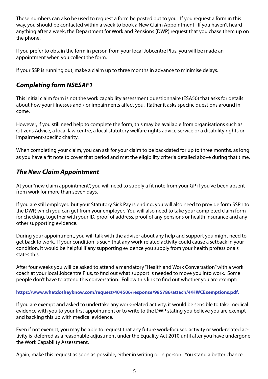These numbers can also be used to request a form be posted out to you. If you request a form in this way, you should be contacted within a week to book a New Claim Appointment. If you haven't heard anything after a week, the Department for Work and Pensions (DWP) request that you chase them up on the phone.

If you prefer to obtain the form in person from your local Jobcentre Plus, you will be made an appointment when you collect the form.

If your SSP is running out, make a claim up to three months in advance to minimise delays.

# *Completing form NSESAF1*

This initial claim form is not the work capability assessment questionnaire (ESA50) that asks for details about how your illnesses and / or impairments affect you. Rather it asks specific questions around income.

However, if you still need help to complete the form, this may be available from organisations such as Citizens Advice, a local law centre, a local statutory welfare rights advice service or a disability rights or impairment-specific charity.

When completing your claim, you can ask for your claim to be backdated for up to three months, as long as you have a fit note to cover that period and met the eligibility criteria detailed above during that time.

# *The New Claim Appointment*

At your "new claim appointment", you will need to supply a fit note from your GP if you've been absent from work for more than seven days.

If you are still employed but your Statutory Sick Pay is ending, you will also need to provide form SSP1 to the DWP, which you can get from your employer. You will also need to take your completed claim form for checking, together with your ID, proof of address, proof of any pensions or health insurance and any other supporting evidence.

During your appointment, you will talk with the adviser about any help and support you might need to get back to work. If your condition is such that any work-related activity could cause a setback in your condition, it would be helpful if any supporting evidence you supply from your health professionals states this.

After four weeks you will be asked to attend a mandatory "Health and Work Conversation" with a work coach at your local Jobcentre Plus, to find out what support is needed to move you into work. Some people don't have to attend this conversation. Follow this link to find out whether you are exempt:

#### **https://www.whatdotheyknow.com/request/404506/response/985786/attach/4/HWCExemptions.pdf.**

If you are exempt and asked to undertake any work-related activity, it would be sensible to take medical evidence with you to your first appointment or to write to the DWP stating you believe you are exempt and backing this up with medical evidence.

Even if not exempt, you may be able to request that any future work-focused activity or work-related activity is deferred as a reasonable adjustment under the Equality Act 2010 until after you have undergone the Work Capability Assessment.

Again, make this request as soon as possible, either in writing or in person. You stand a better chance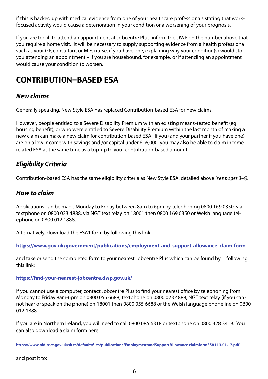if this is backed up with medical evidence from one of your healthcare professionals stating that workfocused activity would cause a deterioration in your condition or a worsening of your prognosis.

If you are too ill to attend an appointment at Jobcentre Plus, inform the DWP on the number above that you require a home visit. It will be necessary to supply supporting evidence from a health professional such as your GP, consultant or M.E. nurse, if you have one, explaining why your condition(s) would stop you attending an appointment – if you are housebound, for example, or if attending an appointment would cause your condition to worsen.

# CONTRIBUTION-BASED ESA

# *New claims*

Generally speaking, New Style ESA has replaced Contribution-based ESA for new claims.

However, people entitled to a Severe Disability Premium with an existing means-tested benefit (eg housing benefit), or who were entitled to Severe Disability Premium within the last month of making a new claim can make a new claim for contribution-based ESA. If you (and your partner if you have one) are on a low income with savings and /or capital under £16,000, you may also be able to claim incomerelated ESA at the same time as a top-up to your contribution-based amount.

# *Eligibility Criteria*

Contribution-based ESA has the same eligibility criteria as New Style ESA, detailed above *(see pages 3-4).*

# *How to claim*

Applications can be made Monday to Friday between 8am to 6pm by telephoning 0800 169 0350, via textphone on 0800 023 4888, via NGT text relay on 18001 then 0800 169 0350 or Welsh language telephone on 0800 012 1888.

Alternatively, download the ESA1 form by following this link:

**https://www.gov.uk/government/publications/employment-and-support-allowance-claim-form**

and take or send the completed form to your nearest Jobcentre Plus which can be found by following this link:

### **https://find-your-nearest-jobcentre.dwp.gov.uk/**

If you cannot use a computer, contact Jobcentre Plus to find your nearest office by telephoning from Monday to Friday 8am-6pm on 0800 055 6688, textphone on 0800 023 4888, NGT text relay (if you cannot hear or speak on the phone) on 18001 then 0800 055 6688 or the Welsh language phoneline on 0800 012 1888.

If you are in Northern Ireland, you will need to call 0800 085 6318 or textphone on 0800 328 3419. You can also download a claim form here

**https://www.nidirect.gov.uk/sites/default/files/publications/EmploymentandSupportAllowance claimformESA113.01.17.pdf**

and post it to: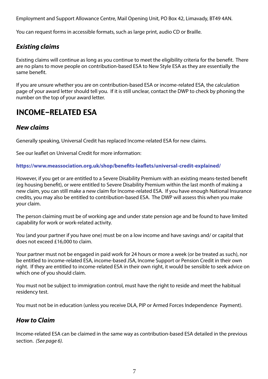Employment and Support Allowance Centre, Mail Opening Unit, PO Box 42, Limavady, BT49 4AN.

You can request forms in accessible formats, such as large print, audio CD or Braille.

# *Existing claims*

Existing claims will continue as long as you continue to meet the eligibility criteria for the benefit. There are no plans to move people on contribution-based ESA to New Style ESA as they are essentially the same benefit.

If you are unsure whether you are on contribution-based ESA or income-related ESA, the calculation page of your award letter should tell you. If it is still unclear, contact the DWP to check by phoning the number on the top of your award letter.

# INCOME-RELATED ESA

# *New claims*

Generally speaking, Universal Credit has replaced Income-related ESA for new claims.

See our leaflet on Universal Credit for more information:

#### **https://www.meassociation.org.uk/shop/benefits-leaflets/universal-credit-explained/**

However, if you get or are entitled to a Severe Disability Premium with an existing means-tested benefit (eg housing benefit), or were entitled to Severe Disability Premium within the last month of making a new claim, you can still make a new claim for Income-related ESA. If you have enough National Insurance credits, you may also be entitled to contribution-based ESA. The DWP will assess this when you make your claim.

The person claiming must be of working age and under state pension age and be found to have limited capability for work or work-related activity.

You (and your partner if you have one) must be on a low income and have savings and/ or capital that does not exceed £16,000 to claim.

Your partner must not be engaged in paid work for 24 hours or more a week (or be treated as such), nor be entitled to income-related ESA, income-based JSA, Income Support or Pension Credit in their own right. If they are entitled to income-related ESA in their own right, it would be sensible to seek advice on which one of you should claim.

You must not be subject to immigration control, must have the right to reside and meet the habitual residency test.

You must not be in education (unless you receive DLA, PIP or Armed Forces Independence Payment).

# *How to Claim*

Income-related ESA can be claimed in the same way as contribution-based ESA detailed in the previous section. *(See page 6).*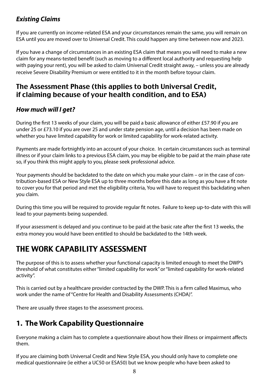# *Existing Claims*

If you are currently on income-related ESA and your circumstances remain the same, you will remain on ESA until you are moved over to Universal Credit. This could happen any time between now and 2023.

If you have a change of circumstances in an existing ESA claim that means you will need to make a new claim for any means-tested benefit (such as moving to a different local authority and requesting help with paying your rent), you will be asked to claim Universal Credit straight away, – unless you are already receive Severe Disability Premium or were entitled to it in the month before toyour claim.

# The Assessment Phase (this applies to both Universal Credit, if claiming because of your health condition, and to ESA)

# *How much will I get?*

During the first 13 weeks of your claim, you will be paid a basic allowance of either £57.90 if you are under 25 or £73.10 if you are over 25 and under state pension age, until a decision has been made on whether you have limited capability for work or limited capability for work-related activity.

Payments are made fortnightly into an account of your choice. In certain circumstances such as terminal illness or if your claim links to a previous ESA claim, you may be eligible to be paid at the main phase rate so, if you think this might apply to you, please seek professional advice.

Your payments should be backdated to the date on which you make your claim – or in the case of contribution-based ESA or New Style ESA up to three months before this date as long as you have a fit note to cover you for that period and met the eligibility criteria, You will have to request this backdating when you claim.

During this time you will be required to provide regular fit notes. Failure to keep up-to-date with this will lead to your payments being suspended.

If your assessment is delayed and you continue to be paid at the basic rate after the first 13 weeks, the extra money you would have been entitled to should be backdated to the 14th week.

# THE WORK CAPABILITY ASSESSMENT

The purpose of this is to assess whether your functional capacity is limited enough to meet the DWP's threshold of what constitutes either "limited capability for work" or "limited capability for work-related activity".

This is carried out by a healthcare provider contracted by the DWP. This is a firm called Maximus, who work under the name of "Centre for Health and Disability Assessments (CHDA)".

There are usually three stages to the assessment process.

# **1. The Work Capability Questionnaire**

Everyone making a claim has to complete a questionnaire about how their illness or impairment affects them.

If you are claiming both Universal Credit and New Style ESA, you should only have to complete one medical questionnaire (ie either a UC50 or ESA50) but we know people who have been asked to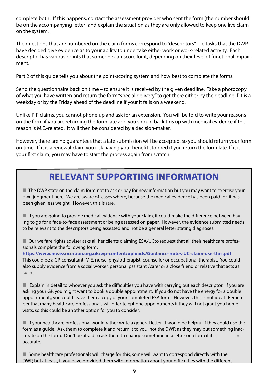complete both. If this happens, contact the assessment provider who sent the form (the number should be on the accompanying letter) and explain the situation as they are only allowed to keep one live claim on the system.

The questions that are numbered on the claim forms correspond to "descriptors" – ie tasks that the DWP have decided give evidence as to your ability to undertake either work or work-related activity. Each descriptor has various points that someone can score for it, depending on their level of functional impairment.

Part 2 of this guide tells you about the point-scoring system and how best to complete the forms.

Send the questionnaire back on time – to ensure it is received by the given deadline. Take a photocopy of what you have written and return the form "special delivery" to get there either by the deadline if it is a weekday or by the Friday ahead of the deadline if your it falls on a weekend.

Unlike PIP claims, you cannot phone up and ask for an extension. You will be told to write your reasons on the form if you are returning the form late and you should back this up with medical evidence if the reason is M.E.-related. It will then be considered by a decision-maker.

However, there are no guarantees that a late submission will be accepted, so you should return your form on time. If it is a renewal claim you risk having your benefit stopped if you return the form late. If it is your first claim, you may have to start the process again from scratch.

# **RELEVANT SUPPORTING INFORMATION**

 $\blacksquare$  The DWP state on the claim form not to ask or pay for new information but you may want to exercise your own judgment here. We are aware of cases where, because the medical evidence has been paid for, it has been given less weight. However, this is rare.

 $\blacksquare$  If you are going to provide medical evidence with your claim, it could make the difference between having to go for a face-to-face assessment or being assessed on paper. However, the evidence submitted needs to be relevant to the descriptors being assessed and not be a general letter stating diagnoses.

■ Our welfare rights adviser asks all her clients claiming ESA/UCto request that all their healthcare professionals complete the following form:

**https://www.meassociation.org.uk/wp-content/uploads/Guidance-notes-UC-claim-use-this.pdf** This could be a GP, consultant, M.E. nurse, physiotherapist, counsellor or occupational therapist. You could also supply evidence from a social worker, personal pssistant /carer or a close friend or relative that acts as such.

 $\blacksquare$  Explain in detail to whoever you ask the difficulties you have with carrying out each descriptor. If you are asking your GP, you might want to book a double appointment. If you do not have the energy for a double appointment,, you could leave them a copy of your completed ESA form. However, this is not ideal. Remember that many healthcare professionals will offer telephone appointments if they will not grant you home visits, so this could be another option for you to consider.

 $\blacksquare$  If your healthcare professional would rather write a general letter, it would be helpful if they could use the form as a guide. Ask them to complete it and return it to you, not the DWP, as they may put something inaccurate on the form. Don't be afraid to ask them to change something in a letter or a form if it is inaccurate.

 $\blacksquare$  Some healthcare professionals will charge for this, some will want to correspond directly with the DWP, but at least, if you have provided them with information about your difficulties with the different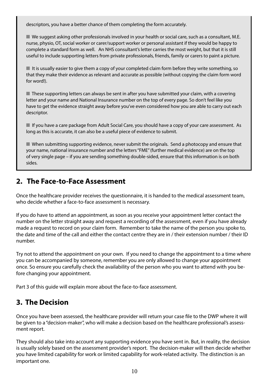descriptors, you have a better chance of them completing the form accurately.

 $\blacksquare$  We suggest asking other professionals involved in your health or social care, such as a consultant, M.E. nurse, physio, OT, social worker or carer/support worker or personal assistant if they would be happy to complete a standard form as well. An NHS consultant's letter carries the most weight, but that it is still useful to include supporting letters from private professionals, friends, family or carers to paint a picture.

 $\blacksquare$  It is usually easier to give them a copy of your completed claim form before they write something, so that they make their evidence as relevant and accurate as possible (without copying the claim form word for word!).

 $\blacksquare$  These supporting letters can always be sent in after you have submitted your claim, with a covering letter and your name and National Insurance number on the top of every page. So don't feel like you have to get the evidence straight away before you've even considered how you are able to carry out each descriptor.

■ If you have a care package from Adult Social Care, you should have a copy of your care assessment. As long as this is accurate, it can also be a useful piece of evidence to submit.

 $\blacksquare$  When submitting supporting evidence, never submit the originals. Send a photocopy and ensure that your name, national insurance number and the letters "FME" (further medical evidence) are on the top of very single page – if you are sending something double-sided, ensure that this information is on both sides.

# **2. The Face-to-Face Assessment**

Once the healthcare provider receives the questionnaire, it is handed to the medical assessment team, who decide whether a face-to-face assessment is necessary.

If you do have to attend an appointment, as soon as you receive your appointment letter contact the number on the letter straight away and request a recording of the assessment, even if you have already made a request to record on your claim form. Remember to take the name of the person you spoke to, the date and time of the call and either the contact centre they are in / their extension number / their ID number.

Try not to attend the appointment on your own. If you need to change the appointment to a time where you can be accompanied by someone, remember you are only allowed to change your appointment once. So ensure you carefully check the availability of the person who you want to attend with you before changing your appointment.

Part 3 of this guide will explain more about the face-to-face assessment.

# **3. The Decision**

Once you have been assessed, the healthcare provider will return your case file to the DWP where it will be given to a "decision-maker", who will make a decision based on the healthcare professional's assessment report.

They should also take into account any supporting evidence you have sent in. But, in reality, the decision is usually solely based on the assessment provider's report. The decision-maker will then decide whether you have limited capability for work or limited capability for work-related activity. The distinction is an important one.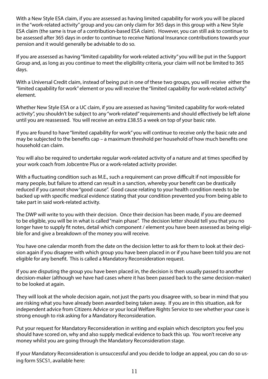With a New Style ESA claim, if you are assessed as having limited capability for work you will be placed in the "work-related activity" group and you can only claim for 365 days in this group with a New Style ESA claim (the same is true of a contribution-based ESA claim). However, you can still ask to continue to be assessed after 365 days in order to continue to receive National Insurance contributions towards your pension and it would generally be advisable to do so.

If you are assessed as having "limited capability for work-related activity" you will be put in the Support Group and, as long as you continue to meet the eligibility criteria, your claim will not be limited to 365 days.

With a Universal Credit claim, instead of being put in one of these two groups, you will receive either the "limited capability for work" element or you will receive the "limited capability for work-related activity" element.

Whether New Style ESA or a UC claim, if you are assessed as having "limited capability for work-related activity", you shouldn't be subject to any "work-related" requirements and should effectively be left alone until you are reassessed. You will receive an extra £38.55 a week on top of your basic rate.

If you are found to have "limited capability for work" you will continue to receive only the basic rate and may be subjected to the benefits cap – a maximum threshold per household of how much benefits one household can claim.

You will also be required to undertake regular work-related activity of a nature and at times specified by your work coach from Jobcentre Plus or a work-related activity provider.

With a fluctuating condition such as M.E., such a requirement can prove difficult if not impossible for many people, but failure to attend can result in a sanction, whereby your benefit can be drastically reduced if you cannot show "good cause". Good cause relating to your health condition needs to be backed up with specific medical evidence stating that your condition prevented you from being able to take part in said work-related activity.

The DWP will write to you with their decision. Once their decision has been made, if you are deemed to be eligible, you will be in what is called "main phase". The decision letter should tell you that you no longer have to supply fit notes, detail which component / element you have been assessed as being eligible for and give a breakdown of the money you will receive.

You have one calendar month from the date on the decision letter to ask for them to look at their decision again if you disagree with which group you have been placed in or if you have been told you are not eligible for any benefit. This is called a Mandatory Reconsideration request.

If you are disputing the group you have been placed in, the decision is then usually passed to another decision-maker (although we have had cases where it has been passed back to the same decision-maker) to be looked at again.

They will look at the whole decision again, not just the parts you disagree with, so bear in mind that you are risking what you have already been awarded being taken away. If you are in this situation, ask for independent advice from Citizens Advice or your local Welfare Rights Service to see whether your case is strong enough to risk asking for a Mandatory Reconsideration.

Put your request for Mandatory Reconsideration in writing and explain which descriptors you feel you should have scored on, why and also supply medical evidence to back this up. You won't receive any money whilst you are going through the Mandatory Reconsideration stage.

If your Mandatory Reconsideration is unsuccessful and you decide to lodge an appeal, you can do so using form SSCS1, available here: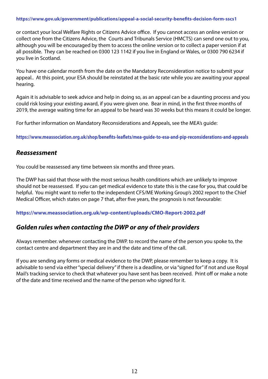#### **https://www.gov.uk/government/publications/appeal-a-social-security-benefits-decision-form-sscs1**

or contact your local Welfare Rights or Citizens Advice office. If you cannot access an online version or collect one from the Citizens Advice, the Courts and Tribunals Service (HMCTS) can send one out to you, although you will be encouraged by them to access the online version or to collect a paper version if at all possible. They can be reached on 0300 123 1142 if you live in England or Wales, or 0300 790 6234 if you live in Scotland.

You have one calendar month from the date on the Mandatory Reconsideration notice to submit your appeal.. At this point, your ESA should be reinstated at the basic rate while you are awaiting your appeal hearing.

Again it is advisable to seek advice and help in doing so, as an appeal can be a daunting process and you could risk losing your existing award, if you were given one. Bear in mind, in the first three months of 2019, the average waiting time for an appeal to be heard was 30 weeks but this means it could be longer.

For further information on Mandatory Reconsiderations and Appeals, see the MEA's guide:

**https://www.meassociation.org.uk/shop/benefits-leaflets/mea-guide-to-esa-and-pip-reconsiderations-and-appeals**

### *Reassessment*

You could be reassessed any time between six months and three years.

The DWP has said that those with the most serious health conditions which are unlikely to improve should not be reassessed. If you can get medical evidence to state this is the case for you, that could be helpful. You might want to rrefer to the independent CFS/ME Working Group's 2002 report to the Chief Medical Officer, which states on page 7 that, after five years, the prognosis is not favourable:

#### **https://www.meassociation.org.uk/wp-content/uploads/CMO-Report-2002.pdf**

# *Golden rules when contacting the DWP or any of their providers*

Always remember. whenever contacting the DWP. to record the name of the person you spoke to, the contact centre and department they are in and the date and time of the call.

If you are sending any forms or medical evidence to the DWP, please remember to keep a copy. It is advisable to send via either "special delivery" if there is a deadline, or via "signed for" if not and use Royal Mail's tracking service to check that whatever you have sent has been received. Print off or make a note of the date and time received and the name of the person who signed for it.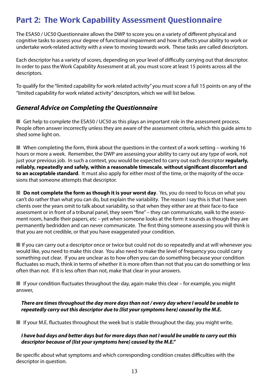# Part 2: The Work Capability Assessment Questionnaire

The ESA50 / UC50 Questionnaire allows the DWP to score you on a variety of different physical and cognitive tasks to assess your degree of functional impairment and how it affects your ability to work or undertake work-related activity with a view to moving towards work. These tasks are called descriptors.

Each descriptor has a variety of scores, depending on your level of difficulty carrying out that descriptor. In order to pass the Work Capability Assessment at all, you must score at least 15 points across all the descriptors.

To qualify for the "limited capability for work related activity" you must score a full 15 points on any of the "limited capability for work related activity" descriptors, which we will list below.

# *General Advice on Completing the Questionnaire*

Get help to complete the ESA50 / UC50 as this plays an important role in the assessment process. People often answer incorrectly unless they are aware of the assessment criteria, which this guide aims to shed some light on.

 $\blacksquare$  When completing the form, think about the questions in the context of a work setting – working 16 hours or more a week. Remember, the DWP are assessing your ability to carry out any type of work, not just your previous job. In such a context, you would be expected to carry out each descriptor **regularly, reliably, repeatedly and safely, within a reasonable timescale**, **without significant discomfort and to an acceptable standard**. It must also apply for either most of the time, or the majority of the occasions that someone attempts that descriptor.

**Do not complete the form as though it is your worst day**. Yes, you do need to focus on what you can't do rather than what you can do, but explain the variability. The reason I say this is that I have seen clients over the years omit to talk about variability, so that when they either are at their face-to-face assessment or in front of a tribunal panel, they seem "fine" – they can communicate, walk to the assessment room, handle their papers, etc – yet when someone looks at the form it sounds as though they are permanently bedridden and can never communicate. The first thing someone assessing you will think is that you are not credible, or that you have exaggerated your condition.

 $\blacksquare$  If you can carry out a descriptor once or twice but could not do so repeatedly and at will whenever you would like, you need to make this clear. You also need to make the level of frequency you could carry something out clear. If you are unclear as to how often you can do something because your condition fluctuates so much, think in terms of whether it is more often than not that you can do something or less often than not. If it is less often than not, make that clear in your answers.

 $\blacksquare$  If your condition fluctuates throughout the day, again make this clear – for example, you might answer,

### *There are times throughout the day more days than not / every day where I would be unable to repeatedly carry out this descriptor due to {list your symptoms here} caused by the M.E.*

 $\blacksquare$  If your M.E. fluctuates throughout the week but is stable throughout the day, you might write,

### *I have bad days and better days but for more days than not I would be unable to carry out this descriptor because of {list your symptoms here} caused by the M.E."*

Be specific about what symptoms and which corresponding condition creates difficulties with the descriptor in question.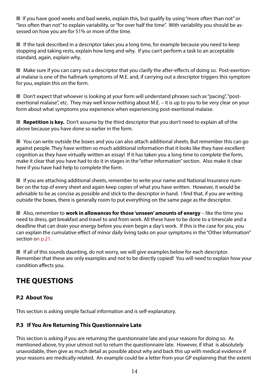$\blacksquare$  If you have good weeks and bad weeks, explain this, but qualify by using "more often than not" or "less often than not" to explain variability, or "for over half the time". With variability you should be assessed on how you are for 51% or more of the time.

 $\blacksquare$  If the task described in a descriptor takes you a long time, for example because you need to keep stopping and taking rests, explain how long and why. If you can't perform a task to an acceptable standard, again, explain why.

 $\blacksquare$  Make sure if you can carry out a descriptor that you clarify the after-effects of doing so. Post-exertional malaise is one of the hallmark symptoms of M.E. and, if carrying out a descriptor triggers this symptom for you, explain this on the form.

 $\blacksquare$  Don't expect that whoever is looking at your form will understand phrases such as "pacing", "postexertional malaise", etc. They may well know nothing about M.E. – it is up to you to be very clear on your form about what symptoms you experience when experiencing post-exertional malaise.

■ **Repetition is key.** Don't assume by the third descriptor that you don't need to explain all of the above because you have done so earlier in the form.

 $\blacksquare$  You can write outside the boxes and you can also attach additional sheets. But remember this can go against people. They have written so much additional information that it looks like they have excellent cognition as they have virtually written an essay! If it has taken you a long time to complete the form, make it clear that you have had to do it in stages in the "other information" section. Also make it clear here if you have had help to complete the form.

 $\blacksquare$  If you are attaching additional sheets, remember to write your name and National Insurance number on the top of every sheet and again keep copies of what you have written. However, it would be advisable to be as concise as possible and stick to the descriptor in hand. I find that, if you are writing outside the boxes, there is generally room to put everything on the same page as the descriptor.

**n** Also, remember to **work in allowances for those 'unseen' amounts of energy** – like the time you need to dress, get breakfast and travel to and from work. All these have to be done to a timescale and a deadline that can drain your energy before you even begin a day's work. If this is the case for you, you can explain the cumulative effect of minor daily living tasks on your symptoms in the "Other Information" section on p.21.

 $\blacksquare$  If all of this sounds daunting, do not worry, we will give examples below for each descriptor. Remember that these are only examples and not to be directly copied! You will need to explain how your condition affects you.

# **THE QUESTIONS**

# **P.2 About You**

This section is asking simple factual information and is self-explanatory.

# **P.3 If You Are Returning This Questionnaire Late**

This section is asking if you are returning the questionnaire late and your reasons for doing so. As mentioned above, try your utmost not to return the questionnaire late. However, if ithat is absolutely unavoidable, then give as much detail as possible about why and back this up with medical evidence if your reasons are medically-related. An example could be a letter from your GP explaining that the extent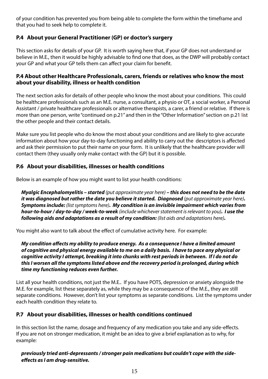of your condition has prevented you from being able to complete the form within the timeframe and that you had to seek help to complete it.

# **P.4 About your General Practitioner (GP) or doctor's surgery**

This section asks for details of your GP. It is worth saying here that, if your GP does not understand or believe in M.E., then it would be highly advisable to find one that does, as the DWP will probably contact your GP and what your GP tells them can affect your claim for benefit.

### **P.4 About other Healthcare Professionals, carers, friends or relatives who know the most about your disability, illness or health condition**

The next section asks for details of other people who know the most about your conditions. This could be healthcare professionals such as an M.E. nurse, a consultant, a physio or OT, a social worker, a Personal Assistant / private healthcare professionals or alternative therapists, a carer, a friend or relative. If there is more than one person, write "continued on p.21" and then in the "Other Information" section on p.21 list the other people and their contact details.

Make sure you list people who do know the most about your conditions and are likely to give accurate information about how your day-to-day functioning and ability to carry out the descriptors is affected and ask their permission to put their name on your form. It is unlikely that the healthcare provider will contact them (they usually only make contact with the GP) but it is possible.

# **P.6 About your disabilities, illnesses or health conditions**

Below is an example of how you might want to list your health conditions:

*Myalgic Encephalomyelitis – started (put approximate year here) – this does not need to be the date it was diagnosed but rather the date you believe it started. Diagnosed (put approximate year here). Symptoms include: (list symptoms here). My condition is an invisible impairment which varies from hour-to-hour / day-to-day / week-to-week (include whichever statement is relevant to you). I use the following aids and adaptations as a result of my condition: (list aids and adaptations here).* 

You might also want to talk about the effect of cumulative activity here. For example:

*My condition affects my ability to produce energy. As a consequence I have a limited amount of cognitive and physical energy available to me on a daily basis. I have to pace any physical or cognitive activity I attempt, breaking it into chunks with rest periods in between. If I do not do this I worsen all the symptoms listed above and the recovery period is prolonged, during which time my functioning reduces even further.*

List all your health conditions, not just the M.E.. If you have POTS, depression or anxiety alongside the M.E. for example, list these separately as, while they may be a consequence of the M.E., they are still separate conditions. However, don't list your symptoms as separate conditions. List the symptoms under each health condition they relate to.

# **P.7 About your disabilities, illnesses or health conditions continued**

In this section list the name, dosage and frequency of any medication you take and any side-effects. If you are not on stronger medication, it might be an idea to give a brief explanation as to why, for example:

# *previously tried anti-depressants / stronger pain medications but couldn't cope with the sideeffects as I am drug-sensitive.*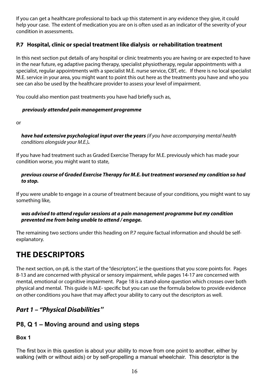If you can get a healthcare professional to back up this statement in any evidence they give, it could help your case. The extent of medication you are on is often used as an indicator of the severity of your condition in assessments.

# **P.7 Hospital, clinic or special treatment like dialysis or rehabilitation treatment**

In this next section put details of any hospital or clinic treatments you are having or are expected to have in the near future, eg adaptive pacing therapy, specialist physiotherapy, regular appointments with a specialist, regular appointments with a specialist M.E. nurse service, CBT, etc. If there is no local specialist M.E. service in your area, you might want to point this out here as the treatments you have and who you see can also be used by the healthcare provider to assess your level of impairment.

You could also mention past treatments you have had briefly such as,

### *previously attended pain management programme*

or

*have had extensive psychological input over the years (if you have accompanying mental health conditions alongside your M.E.).* 

If you have had treatment such as Graded Exercise Therapy for M.E. previously which has made your condition worse, you might want to state,

### *previous course of Graded Exercise Therapy for M.E. but treatment worsened my condition so had to stop.*

If you were unable to engage in a course of treatment because of your conditions, you might want to say something like,

#### *was advised to attend regular sessions at a pain management programme but my condition prevented me from being unable to attend / engage.*

The remaining two sections under this heading on P.7 require factual information and should be selfexplanatory.

# **THE DESCRIPTORS**

The next section, on p8, is the start of the "descriptors", ie the questions that you score points for. Pages 8-13 and are concerned with physical or sensory impairment, while pages 14-17 are concerned with mental, emotional or cognitive impairment. Page 18 is a stand-alone question which crosses over both physical and mental. This guide is M.E- specific but you can use the formula below to provide evidence on other conditions you have that may affect your ability to carry out the descriptors as well.

# *Part 1 – "Physical Disabilities"*

# **P8, Q 1 – Moving around and using steps**

# **Box 1**

The first box in this question is about your ability to move from one point to another, either by walking (with or without aids) or by self-propelling a manual wheelchair. This descriptor is the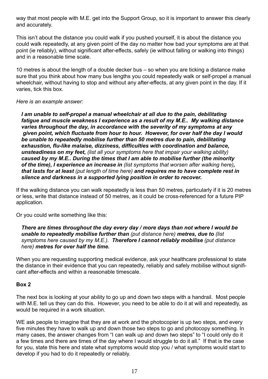way that most people with M.E. get into the Support Group, so it is important to answer this clearly and accurately.

This isn't about the distance you could walk if you pushed yourself, it is about the distance you could walk repeatedly, at any given point of the day no matter how bad your symptoms are at that point (ie reliably), without significant after-effects, safely (ie without falling or walking into things) and in a reasonable time scale.

10 metres is about the length of a double decker bus – so when you are ticking a distance make sure that you think about how many bus lengths you could repeatedly walk or self-propel a manual wheelchair, without having to stop and without any after-effects, at any given point in the day. If it varies, tick this box.

*Here is an example answer:*

I am unable to self-propel a manual wheelchair at all due to the pain, debilitating *fatigue and muscle weakness I experience as a result of my M.E.. My walking distance varies throughout the day, in accordance with the severity of my symptoms at any given point, which fluctuate from hour to hour. However, for over half the day I would be unable to repeatedly mobilise further than 50 metres due to pain, debilitating exhaustion, flu-like malaise, dizziness, difficulties with coordination and balance, unsteadiness on my feet, (list all your symptoms here that impair your walking ability) caused by my M.E.. During the times that I am able to mobilise further (the minority of the time), I experience an increase in (list symptoms that worsen after walking here), that lasts for at least (put length of time here) and requires me to have complete rest in silence and darkness in a supported lying position in order to recover.* 

If the walking distance you can walk repeatedly is less than 50 metres, particularly if it is 20 metres or less, write that distance instead of 50 metres, as it could be cross-referenced for a future PIP application.

Or you could write something like this:

#### *There are times throughout the day every day / more days than not where I would be unable to repeatedly mobilise further than (put distance here) metres, due to (list symptoms here caused by my M.E.). Therefore I cannot reliably mobilise (put distance here) metres for over half the time.*

When you are requesting supporting medical evidence, ask your healthcare professional to state the distance in their evidence that you can repeatedly, reliably and safely mobilise without significant after-effects and within a reasonable timescale.

### **Box 2**

The next box is looking at your ability to go up and down two steps with a handrail. Most people with M.E. tell us they can do this. However, you need to be able to do it at will and repeatedly, as would be required in a work situation.

WE ask people to imagine that they are at work and the photocopier is up two steps, and every five minutes they have to walk up and down those two steps to go and photocopy something. In many cases, the answer changes from "I can walk up and down two steps" to "I could only do it a few times and there are times of the day where I would struggle to do it all." If that is the case for you, state this here and state what symptoms would stop you / what symptoms would start to develop if you had to do it repeatedly or reliably.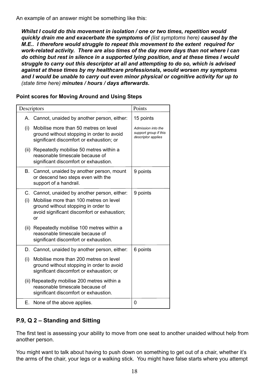An example of an answer might be something like this:

*Whilst I could do this movement in isolation / one or two times, repetition would quickly drain me and exacerbate the symptoms of (list symptoms here) caused by the M.E.. I therefore would struggle to repeat this movement to the extent required for work-related activity. There are also times of the day more days than not where I can do othing but rest in silence in a supported lying position, and at these times I would struggle to carry out this descriptor at all and attempting to do so, which is advised against at these times by my healthcare professionals, would worsen my symptoms and I would be unable to carry out even minor physical or cognitive activity for up to (state time here) minutes / hours / days afterwards.*

### **Point scores for Moving Around and Using Steps**

| Descriptors |                                                                                                                                                                                     | Points                                                            |
|-------------|-------------------------------------------------------------------------------------------------------------------------------------------------------------------------------------|-------------------------------------------------------------------|
|             | A. Cannot, unaided by another person, either:                                                                                                                                       | 15 points                                                         |
| (i)         | Mobilise more than 50 metres on level<br>ground without stopping in order to avoid<br>significant discomfort or exhaustion; or                                                      | Admission into the<br>support group if this<br>descriptor applies |
|             | (ii) Repeatedly mobilise 50 metres within a<br>reasonable timescale because of<br>significant discomfort or exhaustion.                                                             |                                                                   |
| В.          | Cannot, unaided by another person, mount<br>or descend two steps even with the<br>support of a handrail.                                                                            | 9 points                                                          |
| (i)         | C. Cannot, unaided by another person, either:<br>Mobilise more than 100 metres on level<br>ground without stopping in order to<br>avoid significant discomfort or exhaustion;<br>or | 9 points                                                          |
|             | (ii) Repeatedly mobilise 100 metres within a<br>reasonable timescale because of<br>significant discomfort or exhaustion.                                                            |                                                                   |
|             | D. Cannot, unaided by another person, either:                                                                                                                                       | 6 points                                                          |
| (i)         | Mobilise more than 200 metres on level<br>ground without stopping in order to avoid<br>significant discomfort or exhaustion; or                                                     |                                                                   |
|             | (ii) Repeatedly mobilise 200 metres within a<br>reasonable timescale because of<br>significant discomfort or exhaustion.                                                            |                                                                   |
|             | E. None of the above applies.                                                                                                                                                       | 0                                                                 |

# **P.9, Q 2 – Standing and Sitting**

The first test is assessing your ability to move from one seat to another unaided without help from another person.

You might want to talk about having to push down on something to get out of a chair, whether it's the arms of the chair, your legs or a walking stick. You might have false starts where you attempt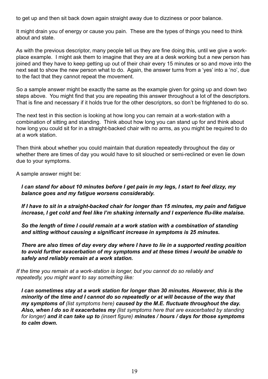to get up and then sit back down again straight away due to dizziness or poor balance.

It might drain you of energy or cause you pain. These are the types of things you need to think about and state.

As with the previous descriptor, many people tell us they are fine doing this, until we give a workplace example. I might ask them to imagine that they are at a desk working but a new person has joined and they have to keep getting up out of their chair every 15 minutes or so and move into the next seat to show the new person what to do. Again, the answer turns from a 'yes' into a 'no', due to the fact that they cannot repeat the movement.

So a sample answer might be exactly the same as the example given for going up and down two steps above. You might find that you are repeating this answer throughout a lot of the descriptors. That is fine and necessary if it holds true for the other descriptors, so don't be frightened to do so.

The next test in this section is looking at how long you can remain at a work-station with a combination of sitting and standing. Think about how long you can stand up for and think about how long you could sit for in a straight-backed chair with no arms, as you might be required to do at a work station.

Then think about whether you could maintain that duration repeatedly throughout the day or whether there are times of day you would have to sit slouched or semi-reclined or even lie down due to your symptoms.

A sample answer might be:

#### *I can stand for about 10 minutes before I get pain in my legs, I start to feel dizzy, my balance goes and my fatigue worsens considerably.*

*If I have to sit in a straight-backed chair for longer than 15 minutes, my pain and fatigue increase, I get cold and feel like I'm shaking internally and I experience flu-like malaise.* 

*So the length of time I could remain at a work station with a combination of standing and sitting without causing a significant increase in symptoms is 25 minutes.* 

*There are also times of day every day where I have to lie in a supported resting position to avoid further exacerbation of my symptoms and at these times I would be unable to safely and reliably remain at a work station.*

*If the time you remain at a work-station is longer, but you cannot do so reliably and repeatedly, you might want to say something like:*

*I can sometimes stay at a work station for longer than 30 minutes. However, this is the minority of the time and I cannot do so repeatedly or at will because of the way that my symptoms of (list symptoms here) caused by the M.E. fluctuate throughout the day. Also, when I do so it exacerbates my (list symptoms here that are exacerbated by standing for longer) and it can take up to (insert figure) minutes / hours / days for those symptoms to calm down.*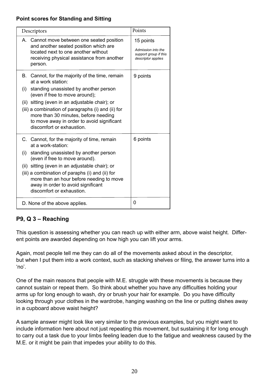# **Point scores for Standing and Sitting**

| Descriptors                                                                                                                                                                                                                                                                                                                                                                           | Points                                                                         |
|---------------------------------------------------------------------------------------------------------------------------------------------------------------------------------------------------------------------------------------------------------------------------------------------------------------------------------------------------------------------------------------|--------------------------------------------------------------------------------|
| A. Cannot move between one seated position<br>and another seated position which are<br>located next to one another without<br>receiving physical assistance from another<br>person.                                                                                                                                                                                                   | 15 points<br>Admission into the<br>support group if this<br>descriptor applies |
| Cannot, for the majority of the time, remain<br>В.<br>at a work station:<br>standing unassisted by another person<br>(i)<br>(even if free to move around);<br>(ii) sitting (even in an adjustable chair); or<br>(iii) a combination of paragraphs (i) and (ii) for<br>more than 30 minutes, before needing<br>to move away in order to avoid significant<br>discomfort or exhaustion. | 9 points                                                                       |
| C. Cannot, for the majority of time, remain<br>at a work-station:<br>standing unassisted by another person<br>(i)<br>(even if free to move around).<br>(ii) sitting (even in an adjustable chair); or<br>(iii) a combination of paraphs (i) and (ii) for<br>more than an hour before needing to move<br>away in order to avoid significant<br>discomfort or exhaustion.               | 6 points                                                                       |
| D. None of the above applies.                                                                                                                                                                                                                                                                                                                                                         | 0                                                                              |

# **P9, Q 3 – Reaching**

This question is assessing whether you can reach up with either arm, above waist height. Different points are awarded depending on how high you can lift your arms.

Again, most people tell me they can do all of the movements asked about in the descriptor, but when I put them into a work context, such as stacking shelves or filing, the answer turns into a 'no'.

One of the main reasons that people with M.E. struggle with these movements is because they cannot sustain or repeat them. So think about whether you have any difficulties holding your arms up for long enough to wash, dry or brush your hair for example. Do you have difficulty looking through your clothes in the wardrobe, hanging washing on the line or putting dishes away in a cupboard above waist height?

A sample answer might look like very similar to the previous examples, but you might want to include information here about not just repeating this movement, but sustaining it for long enough to carry out a task due to your limbs feeling leaden due to the fatigue and weakness caused by the M.E. or it might be pain that impedes your ability to do this.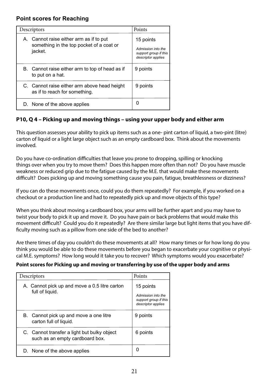# **Point scores for Reaching**

| Descriptors                                                                                    | Points                                                                         |
|------------------------------------------------------------------------------------------------|--------------------------------------------------------------------------------|
| A. Cannot raise either arm as if to put<br>something in the top pocket of a coat or<br>jacket. | 15 points<br>Admission into the<br>support group if this<br>descriptor applies |
| B. Cannot raise either arm to top of head as if<br>to put on a hat.                            | 9 points                                                                       |
| C. Cannot raise either arm above head height<br>as if to reach for something.                  | 9 points                                                                       |
| D. None of the above applies                                                                   | O                                                                              |

# **P10, Q 4 – Picking up and moving things – using your upper body and either arm**

This question assesses your ability to pick up items such as a one- pint carton of liquid, a two-pint (litre) carton of liquid or a light large object such as an empty cardboard box. Think about the movements involved.

Do you have co-ordination difficulties that leave you prone to dropping, spilling or knocking things over when you try to move them? Does this happen more often than not? Do you have muscle weakness or reduced grip due to the fatigue caused by the M.E. that would make these movements difficult? Does picking up and moving something cause you pain, fatigue, breathlessness or dizziness?

If you can do these movements once, could you do them repeatedly? For example, if you worked on a checkout or a production line and had to repeatedly pick up and move objects of this type?

When you think about moving a cardboard box, your arms will be further apart and you may have to twist your body to pick it up and move it. Do you have pain or back problems that would make this movement difficult? Could you do it repeatedly? Are there similar large but light items that you have difficulty moving such as a pillow from one side of the bed to another?

Are there times of day you couldn't do these movements at all? How many times or for how long do you think you would be able to do these movements before you began to exacerbate your cognitive or physical M.E. symptoms? How long would it take you to recover? Which symptoms would you exacerbate?

#### **Point scores for Picking up and moving or transferring by use of the upper body and arms**

| Descriptors                                                                    | Points                                                                         |
|--------------------------------------------------------------------------------|--------------------------------------------------------------------------------|
| A. Cannot pick up and move a 0.5 litre carton<br>full of liquid.               | 15 points<br>Admission into the<br>support group if this<br>descriptor applies |
| B. Cannot pick up and move a one litre<br>carton full of liquid.               | 9 points                                                                       |
| C. Cannot transfer a light but bulky object<br>such as an empty cardboard box. | 6 points                                                                       |
| D. None of the above applies                                                   |                                                                                |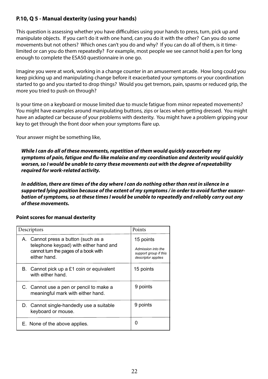# **P.10, Q 5 - Manual dexterity (using your hands)**

This question is assessing whether you have difficulties using your hands to press, turn, pick up and manipulate objects. If you can't do it with one hand, can you do it with the other? Can you do some movements but not others? Which ones can't you do and why? If you can do all of them, is it timelimited or can you do them repeatedly? For example, most people we see cannot hold a pen for long enough to complete the ESA50 questionnaire in one go.

Imagine you were at work, working in a change counter in an amusement arcade. How long could you keep picking up and manipulating change before it exacerbated your symptoms or your coordination started to go and you started to drop things? Would you get tremors, pain, spasms or reduced grip, the more you tried to push on through?

Is your time on a keyboard or mouse limited due to muscle fatigue from minor repeated movements? You might have examples around manipulating buttons, zips or laces when getting dressed. You might have an adapted car because of your problems with dexterity. You might have a problem gripping your key to get through the front door when your symptoms flare up.

Your answer might be something like,

*While I can do all of these movements, repetition of them would quickly exacerbate my symptoms of pain, fatigue and flu-like malaise and my coordination and dexterity would quickly worsen, so I would be unable to carry these movements out with the degree of repeatability required for work-related activity.* 

*In addition, there are times of the day where I can do nothing other than rest in silence in a supported lying position because of the extent of my symptoms / in order to avoid further exacerbation of symptoms, so at these times I would be unable to repeatedly and reliably carry out any of these movements.*

| Descriptors                                                                                                                           | Points                                                                         |
|---------------------------------------------------------------------------------------------------------------------------------------|--------------------------------------------------------------------------------|
| A. Cannot press a button (such as a<br>telephone keypad) with either hand and<br>cannot turn the pages of a book with<br>either hand. | 15 points<br>Admission into the<br>support group if this<br>descriptor applies |
| B. Cannot pick up a £1 coin or equivalent<br>with either hand.                                                                        | 15 points                                                                      |
| C. Cannot use a pen or pencil to make a<br>meaningful mark with either hand.                                                          | 9 points                                                                       |
| D. Cannot single-handedly use a suitable<br>keyboard or mouse.                                                                        | 9 points                                                                       |
| E. None of the above applies.                                                                                                         | 0                                                                              |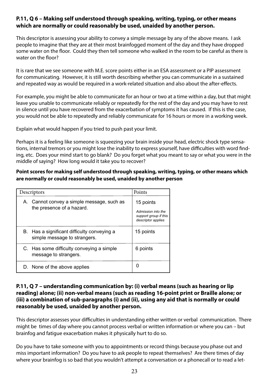# **P.11, Q 6 – Making self understood through speaking, writing, typing, or other means which are normally or could reasonably be used, unaided by another person.**

This descriptor is assessing your ability to convey a simple message by any of the above means. I ask people to imagine that they are at their most brainfogged moment of the day and they have dropped some water on the floor. Could they then tell someone who walked in the room to be careful as there is water on the floor?

It is rare that we see someone with M.E. score points either in an ESA assessment or a PIP assessment for communicating. However, it is still worth describing whether you can communicate in a sustained and repeated way as would be required in a work-related situation and also about the after-effects.

For example, you might be able to communicate for an hour or two at a time within a day, but that might leave you unable to communicate reliably or repeatedly for the rest of the day and you may have to rest in silence until you have recovered from the exacerbation of symptoms it has caused. If this is the case, you would not be able to repeatedly and reliably communicate for 16 hours or more in a working week.

Explain what would happen if you tried to push past your limit.

Perhaps it is a feeling like someone is squeezing your brain inside your head, electric shock type sensations, internal tremors or you might lose the inability to express yourself, have difficulties with word finding, etc. Does your mind start to go blank? Do you forget what you meant to say or what you were in the middle of saying? How long would it take you to recover?

### **Point scores for making self understood through speaking, writing, typing, or other means which are normally or could reasonably be used, unaided by another person**

| Descriptors                                                                 | Points                                                                         |
|-----------------------------------------------------------------------------|--------------------------------------------------------------------------------|
| A. Cannot convey a simple message, such as<br>the presence of a hazard.     | 15 points<br>Admission into the<br>support group if this<br>descriptor applies |
| B. Has a significant difficulty conveying a<br>simple message to strangers. | 15 points                                                                      |
| C. Has some difficulty conveying a simple<br>message to strangers.          | 6 points                                                                       |
| D. None of the above applies                                                |                                                                                |

### **P.11, Q 7 – understanding communication by: (i) verbal means (such as hearing or lip reading) alone; (ii) non-verbal means (such as reading 16-point print or Braille alone; or (iii) a combination of sub-paragraphs (i) and (ii), using any aid that is normally or could reasonably be used, unaided by another person.**

This descriptor assesses your difficulties in understanding either written or verbal communication. There might be times of day where you cannot process verbal or written information or where you can – but brainfog and fatigue exacerbation makes it physically hurt to do so.

Do you have to take someone with you to appointments or record things because you phase out and miss important information? Do you have to ask people to repeat themselves? Are there times of day where your brainfog is so bad that you wouldn't attempt a conversation or a phonecall or to read a let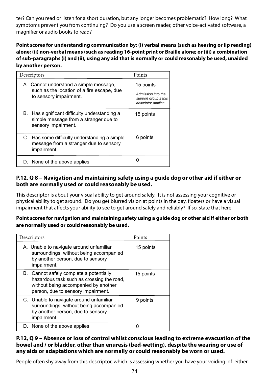ter? Can you read or listen for a short duration, but any longer becomes problematic? How long? What symptoms prevent you from continuing? Do you use a screen reader, other voice-activated software, a magnifier or audio books to read?

**Point scores for understanding communication by: (i) verbal means (such as hearing or lip reading) alone; (ii) non-verbal means (such as reading 16-point print or Braille alone; or (iii) a combination of sub-paragraphs (i) and (ii), using any aid that is normally or could reasonably be used, unaided by another person.** 

| Descriptors                                                                                                    | Points                                                                         |
|----------------------------------------------------------------------------------------------------------------|--------------------------------------------------------------------------------|
| A. Cannot understand a simple message,<br>such as the location of a fire escape, due<br>to sensory impairment. | 15 points<br>Admission into the<br>support group if this<br>descriptor applies |
| B. Has significant difficulty understanding a<br>simple message from a stranger due to<br>sensory impairment.  | 15 points                                                                      |
| C. Has some difficulty understanding a simple<br>message from a stranger due to sensory<br>impairment.         | 6 points                                                                       |
| D. None of the above applies                                                                                   |                                                                                |

# **P.12, Q 8 – Navigation and maintaining safety using a guide dog or other aid if either or both are normally used or could reasonably be used.**

This descriptor is about your visual ability to get around safely. It is not assessing your cognitive or physical ability to get around. Do you get blurred vision at points in the day, floaters or have a visual impairment that affects your ability to see to get around safely and reliably? If so, state that here.

### **Point scores for navigation and maintaining safety using a guide dog or other aid if either or both are normally used or could reasonably be used.**

| Descriptors                                                                                                                                                        | Points    |
|--------------------------------------------------------------------------------------------------------------------------------------------------------------------|-----------|
| A. Unable to navigate around unfamiliar<br>surroundings, without being accompanied<br>by another person, due to sensory<br>impairment.                             | 15 points |
| B. Cannot safely complete a potentially<br>hazardous task such as crossing the road,<br>without being accompanied by another<br>person, due to sensory impairment. | 15 points |
| C. Unable to navigate around unfamiliar<br>surroundings, without being accompanied<br>by another person, due to sensory<br>impairment.                             | 9 points  |
| D. None of the above applies                                                                                                                                       | 0         |

### **P.12, Q 9 – Absence or loss of control whilst conscious leading to extreme evacuation of the bowel and / or bladder, other than enuresis (bed-wetting), despite the wearing or use of any aids or adaptations which are normally or could reasonably be worn or used.**

People often shy away from this descriptor, which is assessing whether you have your voiding of either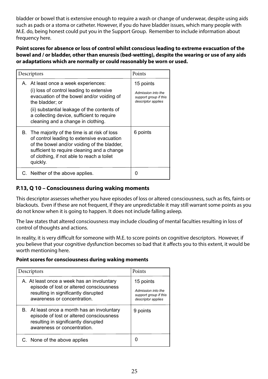bladder or bowel that is extensive enough to require a wash or change of underwear, despite using aids such as pads or a stoma or catheter. However, if you do have bladder issues, which many people with M.E. do, being honest could put you in the Support Group. Remember to include information about frequency here.

**Point scores for absence or loss of control whilst conscious leading to extreme evacuation of the bowel and / or bladder, other than enuresis (bed-wetting), despite the wearing or use of any aids or adaptations which are normally or could reasonably be worn or used.**

| Descriptors                                                                                                                                                                                                                                                                         | Points                                                                         |
|-------------------------------------------------------------------------------------------------------------------------------------------------------------------------------------------------------------------------------------------------------------------------------------|--------------------------------------------------------------------------------|
| A. At least once a week experiences:<br>(i) loss of control leading to extensive<br>evacuation of the bowel and/or voiding of<br>the bladder; or<br>(ii) substantial leakage of the contents of<br>a collecting device, sufficient to require<br>cleaning and a change in clothing. | 15 points<br>Admission into the<br>support group if this<br>descriptor applies |
| B. The majority of the time is at risk of loss<br>of control leading to extensive evacuation<br>of the bowel and/or voiding of the bladder,<br>sufficient to require cleaning and a change<br>of clothing, if not able to reach a toilet<br>quickly.                                | 6 points                                                                       |
| C. Neither of the above applies.                                                                                                                                                                                                                                                    | O                                                                              |

# **P.13, Q 10 – Consciousness during waking moments**

This descriptor assesses whether you have episodes of loss or altered consciousness, such as fits, faints or blackouts. Even if these are not frequent, if they are unpredictable it may still warrant some points as you do not know when it is going to happen. It does not include falling asleep.

The law states that altered consciousness may include clouding of mental faculties resulting in loss of control of thoughts and actions.

In reality, it is very difficult for someone with M.E. to score points on cognitive descriptors. However, if you believe that your cognitive dysfunction becomes so bad that it affects you to this extent, it would be worth mentioning here.

#### **Point scores for consciousness during waking moments**

| Descriptors                                                                                                                                                    | Points                                                            |
|----------------------------------------------------------------------------------------------------------------------------------------------------------------|-------------------------------------------------------------------|
| A. At least once a week has an involuntary                                                                                                                     | 15 points                                                         |
| episode of lost or altered consciousness<br>resulting in significantly disrupted<br>awareness or concentration.                                                | Admission into the<br>support group if this<br>descriptor applies |
| B. At least once a month has an involuntary<br>episode of lost or altered consciousness<br>resulting in significantly disrupted<br>awareness or concentration. | 9 points                                                          |
| C. None of the above applies                                                                                                                                   |                                                                   |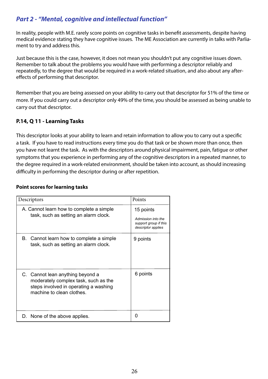# *Part 2 - "Mental, cognitive and intellectual function"*

In reality, people with M.E. rarely score points on cognitive tasks in benefit assessments, despite having medical evidence stating they have cognitive issues. The ME Association are currently in talks with Parliament to try and address this.

Just because this is the case, however, it does not mean you shouldn't put any cognitive issues down. Remember to talk about the problems you would have with performing a descriptor reliably and repeatedly, to the degree that would be required in a work-related situation, and also about any aftereffects of performing that descriptor.

Remember that you are being assessed on your ability to carry out that descriptor for 51% of the time or more. If you could carry out a descriptor only 49% of the time, you should be assessed as being unable to carry out that descriptor.

# **P.14, Q 11 - Learning Tasks**

This descriptor looks at your ability to learn and retain information to allow you to carry out a specific a task. If you have to read instructions every time you do that task or be shown more than once, then you have not learnt the task. As with the descriptors around physical impairment, pain, fatigue or other symptoms that you experience in performing any of the cognitive descriptors in a repeated manner, to the degree required in a work-related environment, should be taken into account, as should increasing difficulty in performing the descriptor during or after repetition.

#### **Point scores for learning tasks**

| Descriptors                                                                                                                                    | Points                                                                         |
|------------------------------------------------------------------------------------------------------------------------------------------------|--------------------------------------------------------------------------------|
| A. Cannot learn how to complete a simple<br>task, such as setting an alarm clock.                                                              | 15 points<br>Admission into the<br>support group if this<br>descriptor applies |
| B. Cannot learn how to complete a simple<br>task, such as setting an alarm clock.                                                              | 9 points                                                                       |
| C. Cannot lean anything beyond a<br>moderately complex task, such as the<br>steps involved in operating a washing<br>machine to clean clothes. | 6 points                                                                       |
| D. None of the above applies.                                                                                                                  | O                                                                              |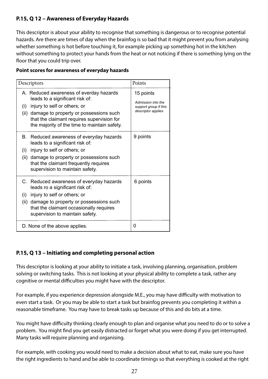# **P.15, Q 12 – Awareness of Everyday Hazards**

This descriptor is about your ability to recognise that something is dangerous or to recognise potential hazards. Are there are times of day when the brainfog is so bad that it might prevent you from analysing whether something is hot before touching it, for example picking up something hot in the kitchen without something to protect your hands from the heat or not noticing if there is something lying on the floor that you could trip over.

#### **Point scores for awareness of everyday hazards**

| Descriptors                                                                                                                                                                                                                                                 | Points                                                                         |
|-------------------------------------------------------------------------------------------------------------------------------------------------------------------------------------------------------------------------------------------------------------|--------------------------------------------------------------------------------|
| A. Reduced awareness of everday hazards<br>leads to a significant risk of:<br>(i) injury to self or others; or<br>(ii) damage to property or possessions such<br>that the claimant requires supervision for<br>the majority of the time to maintain safety. | 15 points<br>Admission into the<br>support group if this<br>descriptor applies |
| Reduced awareness of everyday hazards<br>В.<br>leads to a significant risk of:<br>injury to self or others; or<br>(i)<br>(ii) damage to property or possessions such<br>that the claimant frequently requires<br>supervision to maintain safety.            | 9 points                                                                       |
| C. Reduced awareness of everyday hazards<br>leads ro a significant risk of:<br>injury to self or others; or<br>(i)<br>(ii) damage to property or possessions such<br>that the claimant occasionally requires<br>supervision to maintain safety.             | 6 points                                                                       |
| D. None of the above applies.                                                                                                                                                                                                                               | O                                                                              |

# **P.15, Q 13 – Initiating and completing personal action**

This descriptor is looking at your ability to initiate a task, involving planning, organisation, problem solving or switching tasks. This is not looking at your physical ability to complete a task, rather any cognitive or mental difficulties you might have with the descriptor.

For example, if you experience depression alongside M.E., you may have difficulty with motivation to even start a task. Or you may be able to start a task but brainfog prevents you completing it within a reasonable timeframe. You may have to break tasks up because of this and do bits at a time.

You might have difficulty thinking clearly enough to plan and organise what you need to do or to solve a problem. You might find you get easily distracted or forget what you were doing if you get interrupted. Many tasks will require planning and organising.

For example, with cooking you would need to make a decision about what to eat, make sure you have the right ingredients to hand and be able to coordinate timings so that everything is cooked at the right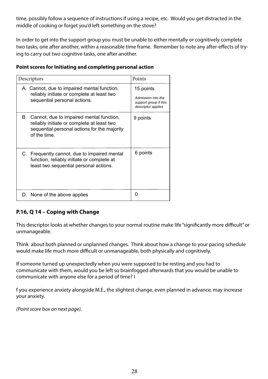time, possibly follow a sequence of instructions if using a recipe, etc. Would you get distracted in the middle of cooking or forget you'd left something on the stove?

In order to get into the support group you must be unable to either mentally or cognitively complete two tasks, one after another, within a reasonable time frame. Remember to note any after-effects of trying to carry out two cognitive tasks, one after another.

### **Point scores for Initiating and completing personal action**

| Descriptors                                                                                                                                                  | Points                                                                         |
|--------------------------------------------------------------------------------------------------------------------------------------------------------------|--------------------------------------------------------------------------------|
| A. Cannot, due to impaired mental function,<br>reliably initiate or complete at least two<br>sequential personal actions.                                    | 15 points<br>Admission into the<br>support group if this<br>descriptor applies |
| Cannot, due to impaired mental function,<br>В.<br>reliably initiate or complete at least two<br>sequential personal actions for the majority<br>of the time. | 9 points                                                                       |
| C. Frequently cannot, due to impaired mental<br>function, reliably initiate or complete at<br>least two sequential personal actions.                         | 6 points                                                                       |
| D. None of the above applies                                                                                                                                 | 0                                                                              |

# **P.16, Q 14 – Coping with Change**

This descriptor looks at whether changes to your normal routine make life "significantly more difficult" or unmanageable.

Think about both planned or unplanned changes. Think about how a change to your pacing schedule would make life much more difficult or unmanageable, both physically and cognitively.

If someone turned up unexpectedly when you were supposed to be resting and you had to communicate with them, would you be left so brainfogged afterwards that you would be unable to communicate with anyone else for a period of time? I

f you experience anxiety alongside M.E., the slightest change, even planned in advance, may increase your anxiety.

*(Point score box on next page)*.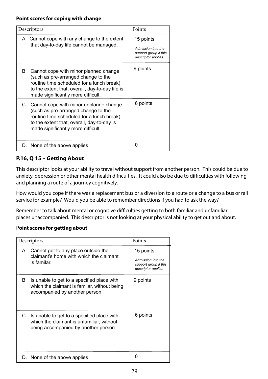| Descriptors                                                                                                                                                                                                           | Points                                      |
|-----------------------------------------------------------------------------------------------------------------------------------------------------------------------------------------------------------------------|---------------------------------------------|
| A. Cannot cope with any change to the extent<br>that day-to-day life cannot be managed.                                                                                                                               | 15 points<br>Admission into the             |
|                                                                                                                                                                                                                       | support group if this<br>descriptor applies |
| B. Cannot cope with minor planned change<br>(such as pre-arranged change to the<br>routine time scheduled for a lunch break)<br>to the extent that, overall, day-to-day life is<br>made significantly more difficult. | 9 points                                    |
| C. Cannot cope with minor unplanne change<br>(such as pre-arranged change to the<br>routine time scheduled for a lunch break)<br>to the extent that, overall, day-to-day is<br>made significantly more difficult.     | 6 points                                    |
| D. None of the above applies                                                                                                                                                                                          | O                                           |

# **P.16, Q 15 – Getting About**

This descriptor looks at your ability to travel without support from another person. This could be due to anxiety, depression or other mental health difficulties. It could also be due to difficulties with following and planning a route of a journey cognitively.

How would you cope if there was a replacement bus or a diversion to a route or a change to a bus or rail service for example? Would you be able to remember directions if you had to ask the way?

Remember to talk about mental or cognitive difficulties getting to both familiar and unfamiliar places unaccompanied. This descriptor is not looking at your physical ability to get out and about.

# P**oint scores for getting about**

| Descriptors                                                                                                                        | Points                                                                         |
|------------------------------------------------------------------------------------------------------------------------------------|--------------------------------------------------------------------------------|
| A. Cannot get to any place outside the<br>claimant's home with which the claimant<br>is familar.                                   | 15 points<br>Admission into the<br>support group if this<br>descriptor applies |
| В.<br>Is unable to get to a specified place with<br>which the claimant is familar, without being<br>accompanied by another person. | 9 points                                                                       |
| C. Is unable to get to a specified place with<br>which the claimant is unfamiliar, without<br>being accompanied by another person. | 6 points                                                                       |
| D. None of the above applies                                                                                                       |                                                                                |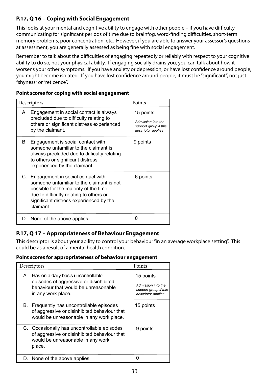# **P.17, Q 16 – Coping with Social Engagement**

This looks at your mental and cognitive ability to engage with other people – if you have difficulty communicating for significant periods of time due to brainfog, word-finding difficulties, short-term memory problems, poor concentration, etc. However, if you are able to answer your assessor's questions at assessment, you are generally assessed as being fine with social engagement.

Remember to talk about the difficulties of engaging repeatedly or reliably with respect to your cognitive ability to do so, not your physical ability. If engaging socially drains you, you can talk about how it worsens your other symptoms. If you have anxiety or depression, or have lost confidence around people, you might become isolated. If you have lost confidence around people, it must be "significant", not just "shyness" or "reticence".

| Point scores for coping with social engagement |  |  |  |
|------------------------------------------------|--|--|--|
|------------------------------------------------|--|--|--|

| Descriptors |                                                                                                                                                                                                                               | Points                                                                         |
|-------------|-------------------------------------------------------------------------------------------------------------------------------------------------------------------------------------------------------------------------------|--------------------------------------------------------------------------------|
| А.          | Engagement in social contact is always<br>precluded due to difficulty relating to<br>others or significant distress experienced<br>by the claimant.                                                                           | 15 points<br>Admission into the<br>support group if this<br>descriptor applies |
| В.          | Engagement is social contact with<br>someone unfamiliar to the claimant is<br>always precluded due to difficulty relating<br>to others or significant distress<br>experienced by the claimant.                                | 9 points                                                                       |
|             | C. Engagement in social contact with<br>someone unfamiliar to the claimant is not<br>possible for the majority of the time<br>due to difficulty relating to others or<br>significant distress experienced by the<br>claimant. | 6 points                                                                       |
|             | D. None of the above applies                                                                                                                                                                                                  | O                                                                              |

# **P.17, Q 17 – Appropriateness of Behaviour Engagement**

This descriptor is about your ability to control your behaviour "in an average workplace setting". This could be as a result of a mental health condition.

#### **Point scores for appropriateness of behaviour engagement**

|    | Descriptors                                                                                                                                 | Points                                                                         |
|----|---------------------------------------------------------------------------------------------------------------------------------------------|--------------------------------------------------------------------------------|
| А. | Has on a daily basis uncontrollable<br>episodes of aggressive or disinhibited<br>behaviour that would be unreasonable<br>in any work place. | 15 points<br>Admission into the<br>support group if this<br>descriptor applies |
| В. | Frequently has uncontrollable episodes<br>of aggressive or disinhibited behaviour that<br>would be unreasonable in any work place.          | 15 points                                                                      |
|    | C. Occasionally has uncontrollable episodes<br>of aggressive or disinhibited behaviour that<br>would be unreasonable in any work<br>place.  | 9 points                                                                       |
|    | D. None of the above applies                                                                                                                |                                                                                |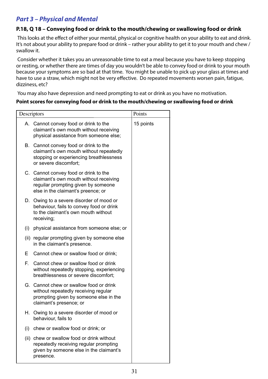# *Part 3 – Physical and Mental*

# **P.18, Q 18 – Conveying food or drink to the mouth/chewing or swallowing food or drink**

This looks at the effect of either your mental, physical or cognitive health on your ability to eat and drink. It's not about your ability to prepare food or drink – rather your ability to get it to your mouth and chew / swallow it.

Consider whether it takes you an unreasonable time to eat a meal because you have to keep stopping or resting, or whether there are times of day you wouldn't be able to convey food or drink to your mouth because your symptoms are so bad at that time. You might be unable to pick up your glass at times and have to use a straw, which might not be very effective. Do repeated movements worsen pain, fatigue, dizziness, etc?

You may also have depression and need prompting to eat or drink as you have no motivation.

#### **Point scores for conveying food or drink to the mouth/chewing or swallowing food or drink**

| Descriptors |                                                                                                                                                              | Points    |
|-------------|--------------------------------------------------------------------------------------------------------------------------------------------------------------|-----------|
|             | A. Cannot convey food or drink to the<br>claimant's own mouth without receiving<br>physical assistance from someone else;                                    | 15 points |
|             | B. Cannot convey food or drink to the<br>claimant's own mouth without repeatedly<br>stopping or experiencing breathlessness<br>or severe discomfort;         |           |
|             | C. Cannot convey food or drink to the<br>claimant's own mouth without receiving<br>reguilar prompting given by someone<br>else in the claimant's preence; or |           |
|             | D. Owing to a severe disorder of mood or<br>behaviour, fails to convey food or drink<br>to the claimant's own mouth without<br>receiving;                    |           |
| (i)         | physical assistance from someone else; or                                                                                                                    |           |
|             | (ii) regular prompting given by someone else<br>in the claimant's presence.                                                                                  |           |
| Е           | Cannot chew or swallow food or drink;                                                                                                                        |           |
| F.          | Cannot chew or swallow food or drink<br>without repeatedly stopping, experiencing<br>breathlessness or severe discomfort;                                    |           |
|             | G. Cannot chew or swallow food or drink<br>without repeatedly receiving regular<br>prompting given by someone else in the<br>claimant's presence; or         |           |
|             | H. Owing to a severe disorder of mood or<br>behaviour, fails to                                                                                              |           |
| (i)         | chew or swallow food or drink; or                                                                                                                            |           |
|             | (ii) chew or swallow food or drink without<br>repeatedly receiving regular prompting<br>given by someone else in the claimant's<br>presence.                 |           |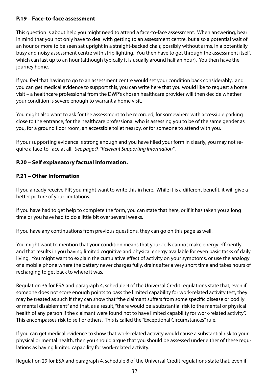### **P.19 – Face-to-face assessment**

This question is about help you might need to attend a face-to-face assessment. When answering, bear in mind that you not only have to deal with getting to an assessment centre, but also a potential wait of an hour or more to be seen sat upright in a straight-backed chair, possibly without arms, in a potentially busy and noisy assessment centre with strip lighting. You then have to get through the assessment itself, which can last up to an hour (although typically it is usually around half an hour). You then have the journey home.

If you feel that having to go to an assessment centre would set your condition back considerably, and you can get medical evidence to support this, you can write here that you would like to request a home visit – a healthcare professional from the DWP's chosen healthcare provider will then decide whether your condition is severe enough to warrant a home visit.

You might also want to ask for the assessment to be recorded, for somewhere with accessible parking close to the entrance, for the healthcare professional who is assessing you to be of the same gender as you, for a ground floor room, an accessible toilet nearby, or for someone to attend with you.

If your supporting evidence is strong enough and you have filled your form in clearly, you may not require a face-to-face at all. *See page 9, "Relevant Supporting Information" .*

### **P.20 – Self explanatory factual information.**

### **P.21 – Other Information**

If you already receive PIP, you might want to write this in here. While it is a different benefit, it will give a better picture of your limitations.

If you have had to get help to complete the form, you can state that here, or if it has taken you a long time or you have had to do a little bit over several weeks.

If you have any continuations from previous questions, they can go on this page as well.

You might want to mention that your condition means that your cells cannot make energy efficiently and that results in you having limited cognitive and physical energy available for even basic tasks of daily living. You might want to explain the cumulative effect of activity on your symptoms, or use the analogy of a mobile phone where the battery never charges fully, drains after a very short time and takes hours of recharging to get back to where it was.

Regulation 35 for ESA and paragraph 4, schedule 9 of the Universal Credit regulations state that, even if someone does not score enough points to pass the limited capability for work-related activity test, they may be treated as such if they can show that "the claimant suffers from some specific disease or bodily or mental disablement" and that, as a result, "there would be a substantial risk to the mental or physical health of any person if the claimant were found not to have limited capability for work-related activity". This encompasses risk to self or others. This is called the "Exceptional Circumstances" rule.

If you can get medical evidence to show that work-related activity would cause a substantial risk to your physical or mental health, then you should argue that you should be assessed under either of these regulations as having limited capability for work-related activity.

Regulation 29 for ESA and paragraph 4, schedule 8 of the Universal Credit regulations state that, even if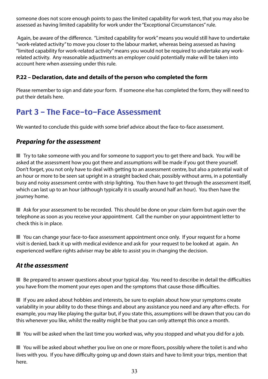someone does not score enough points to pass the limited capability for work test, that you may also be assessed as having limited capability for work under the "Exceptional Circumstances" rule.

 Again, be aware of the difference. "Limited capability for work" means you would still have to undertake "work-related activity" to move you closer to the labour market, whereas being assessed as having "limited capability for work-related activity" means you would not be required to undertake any workrelated activity. Any reasonable adjustments an employer could potentially make will be taken into account here when assessing under this rule.

# **P.22 – Declaration, date and details of the person who completed the form**

Please remember to sign and date your form. If someone else has completed the form, they will need to put their details here.

# Part 3 - The Face-to-Face Assessment

We wanted to conclude this guide with some brief advice about the face-to-face assessment.

# *Preparing for the assessment*

 $\blacksquare$  Try to take someone with you and for someone to support you to get there and back. You will be asked at the assessment how you got there and assumptions will be made if you got there yourself. Don't forget, you not only have to deal with getting to an assessment centre, but also a potential wait of an hour or more to be seen sat upright in a straight backed chair, possibly without arms, in a potentially busy and noisy assessment centre with strip lighting. You then have to get through the assessment itself, which can last up to an hour (although typically it is usually around half an hour). You then have the journey home.

 $\blacksquare$  Ask for your assessment to be recorded. This should be done on your claim form but again over the telephone as soon as you receive your appointment. Call the number on your appointment letter to check this is in place.

 $\blacksquare$  You can change your face-to-face assessment appointment once only. If your request for a home visit is denied, back it up with medical evidence and ask for your request to be looked at again. An experienced welfare rights adviser may be able to assist you in changing the decision.

# *At the assessment*

 $\blacksquare$  Be prepared to answer questions about your typical day. You need to describe in detail the difficulties you have from the moment your eyes open and the symptoms that cause those difficulties.

 $\blacksquare$  If you are asked about hobbies and interests, be sure to explain about how your symptoms create variability in your ability to do these things and about any assistance you need and any after-effects. For example, you may like playing the guitar but, if you state this, assumptions will be drawn that you can do this whenever you like, whilst the reality might be that you can only attempt this once a month.

 $\blacksquare$  You will be asked when the last time you worked was, why you stopped and what you did for a job.

 $\blacksquare$  You will be asked about whether you live on one or more floors, possibly where the toilet is and who lives with you. If you have difficulty going up and down stairs and have to limit your trips, mention that here.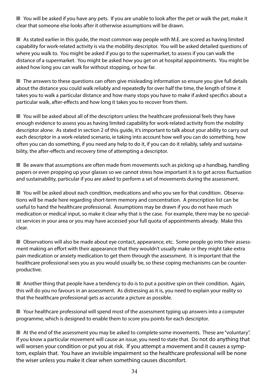$\blacksquare$  You will be asked if you have any pets. If you are unable to look after the pet or walk the pet, make it clear that someone else looks after it otherwise assumptions will be drawn.

 $\blacksquare$  As stated earlier in this guide, the most common way people with M.E. are scored as having limited capability for work-related activity is via the mobility descriptor. You will be asked detailed questions of where you walk to. You might be asked if you go to the supermarket, to assess if you can walk the distance of a supermarket. You might be asked how you get on at hospital appointments. You might be asked how long you can walk for without stopping, or how far.

 $\blacksquare$  The answers to these questions can often give misleading information so ensure you give full details about the distance you could walk reliably and repeatedly for over half the time, the length of time it takes you to walk a particular distance and how many stops you have to make if asked specifics about a particular walk, after-effects and how long it takes you to recover from them.

 $\blacksquare$  You will be asked about all of the descriptors unless the healthcare professional feels they have enough evidence to assess you as having limited capability for work-related activity from the mobility descriptor alone. As stated in section 2 of this guide, it's important to talk about your ability to carry out each descriptor in a work-related scenario, ie taking into account how well you can do something, how often you can do something, if you need any help to do it, if you can do it reliably, safely and sustainability, the after-effects and recovery time of attempting a descriptor.

 $\blacksquare$  Be aware that assumptions are often made from movements such as picking up a handbag, handling papers or even propping up your glasses so we cannot stress how important it is to get across fluctuation and sustainability, particular if you are asked to perform a set of movements during the assessment.

**n** You will be asked about each condition, medications and who you see for that condition. Observations will be made here regarding short-term memory and concentration. A prescription list can be useful to hand the healthcare professional. Assumptions may be drawn if you do not have much medication or medical input, so make it clear why that is the case. For example, there may be no specialist services in your area or you may have accessed your full quota of appointments already. Make this clear.

**n** Observations will also be made about eye contact, appearance, etc. Some people go into their assessment making an effort with their appearance that they wouldn't usually make or they might take extra pain medication or anxiety medication to get them through the assessment. It is important that the healthcare professional sees you as you would usually be, so these coping mechanisms can be counterproductive.

 $\blacksquare$  Another thing that people have a tendency to do is to put a positive spin on their condition. Again, this will do you no favours in an assessment. As distressing as it is, you need to explain your reality so that the healthcare professional gets as accurate a picture as possible.

 $\blacksquare$  Your healthcare professional will spend most of the assessment typing up answers into a computer programme, which is designed to enable them to score you points for each descriptor.

 $\blacksquare$  At the end of the assessment you may be asked to complete some movements. These are "voluntary". If you know a particular movement will cause an issue, you need to state that. Do not do anything that will worsen your condition or put you at risk. If you attempt a movement and it causes a symptom, explain that. You have an invisible impairment so the healthcare professional will be none the wiser unless you make it clear when something causes discomfort.